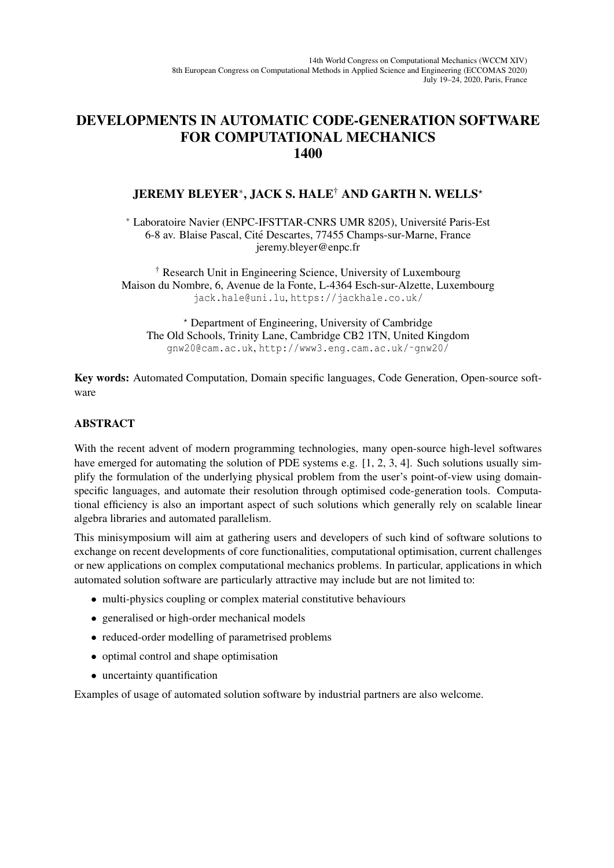## DEVELOPMENTS IN AUTOMATIC CODE-GENERATION SOFTWARE FOR COMPUTATIONAL MECHANICS 1400

## JEREMY BLEYER<sup>∗</sup> , JACK S. HALE† AND GARTH N. WELLS?

<sup>∗</sup> Laboratoire Navier (ENPC-IFSTTAR-CNRS UMR 8205), Universite Paris-Est ´ 6-8 av. Blaise Pascal, Cite Descartes, 77455 Champs-sur-Marne, France ´ jeremy.bleyer@enpc.fr

† Research Unit in Engineering Science, University of Luxembourg Maison du Nombre, 6, Avenue de la Fonte, L-4364 Esch-sur-Alzette, Luxembourg jack.hale@uni.lu, https://jackhale.co.uk/

? Department of Engineering, University of Cambridge The Old Schools, Trinity Lane, Cambridge CB2 1TN, United Kingdom gnw20@cam.ac.uk, http://www3.eng.cam.ac.uk/˜gnw20/

Key words: Automated Computation, Domain specific languages, Code Generation, Open-source software

## ABSTRACT

With the recent advent of modern programming technologies, many open-source high-level softwares have emerged for automating the solution of PDE systems e.g. [1, 2, 3, 4]. Such solutions usually simplify the formulation of the underlying physical problem from the user's point-of-view using domainspecific languages, and automate their resolution through optimised code-generation tools. Computational efficiency is also an important aspect of such solutions which generally rely on scalable linear algebra libraries and automated parallelism.

This minisymposium will aim at gathering users and developers of such kind of software solutions to exchange on recent developments of core functionalities, computational optimisation, current challenges or new applications on complex computational mechanics problems. In particular, applications in which automated solution software are particularly attractive may include but are not limited to:

- multi-physics coupling or complex material constitutive behaviours
- generalised or high-order mechanical models
- reduced-order modelling of parametrised problems
- optimal control and shape optimisation
- uncertainty quantification

Examples of usage of automated solution software by industrial partners are also welcome.